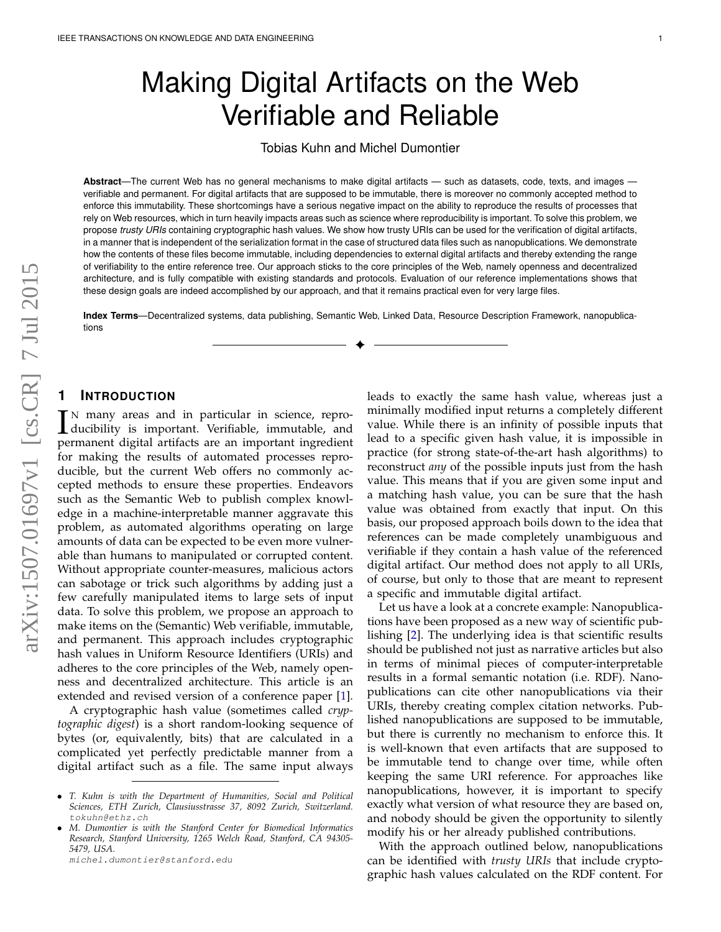# Making Digital Artifacts on the Web Verifiable and Reliable

# Tobias Kuhn and Michel Dumontier

**Abstract**—The current Web has no general mechanisms to make digital artifacts — such as datasets, code, texts, and images verifiable and permanent. For digital artifacts that are supposed to be immutable, there is moreover no commonly accepted method to enforce this immutability. These shortcomings have a serious negative impact on the ability to reproduce the results of processes that rely on Web resources, which in turn heavily impacts areas such as science where reproducibility is important. To solve this problem, we propose *trusty URIs* containing cryptographic hash values. We show how trusty URIs can be used for the verification of digital artifacts, in a manner that is independent of the serialization format in the case of structured data files such as nanopublications. We demonstrate how the contents of these files become immutable, including dependencies to external digital artifacts and thereby extending the range of verifiability to the entire reference tree. Our approach sticks to the core principles of the Web, namely openness and decentralized architecture, and is fully compatible with existing standards and protocols. Evaluation of our reference implementations shows that these design goals are indeed accomplished by our approach, and that it remains practical even for very large files.

**Index Terms**—Decentralized systems, data publishing, Semantic Web, Linked Data, Resource Description Framework, nanopublications ✦

# **1 INTRODUCTION**

IN many areas and in particular in science, repro-<br>ducibility is important. Verifiable, immutable, and<br>pormanent digital artifacts are an important incredient ducibility is important. Verifiable, immutable, and permanent digital artifacts are an important ingredient for making the results of automated processes reproducible, but the current Web offers no commonly accepted methods to ensure these properties. Endeavors such as the Semantic Web to publish complex knowledge in a machine-interpretable manner aggravate this problem, as automated algorithms operating on large amounts of data can be expected to be even more vulnerable than humans to manipulated or corrupted content. Without appropriate counter-measures, malicious actors can sabotage or trick such algorithms by adding just a few carefully manipulated items to large sets of input data. To solve this problem, we propose an approach to make items on the (Semantic) Web verifiable, immutable, and permanent. This approach includes cryptographic hash values in Uniform Resource Identifiers (URIs) and adheres to the core principles of the Web, namely openness and decentralized architecture. This article is an extended and revised version of a conference paper [\[1\]](#page-9-0).

A cryptographic hash value (sometimes called *cryptographic digest*) is a short random-looking sequence of bytes (or, equivalently, bits) that are calculated in a complicated yet perfectly predictable manner from a digital artifact such as a file. The same input always

michel.dumontier@stanford.edu

leads to exactly the same hash value, whereas just a minimally modified input returns a completely different value. While there is an infinity of possible inputs that lead to a specific given hash value, it is impossible in practice (for strong state-of-the-art hash algorithms) to reconstruct *any* of the possible inputs just from the hash value. This means that if you are given some input and a matching hash value, you can be sure that the hash value was obtained from exactly that input. On this basis, our proposed approach boils down to the idea that references can be made completely unambiguous and verifiable if they contain a hash value of the referenced digital artifact. Our method does not apply to all URIs, of course, but only to those that are meant to represent a specific and immutable digital artifact.

Let us have a look at a concrete example: Nanopublications have been proposed as a new way of scientific publishing [\[2\]](#page-9-1). The underlying idea is that scientific results should be published not just as narrative articles but also in terms of minimal pieces of computer-interpretable results in a formal semantic notation (i.e. RDF). Nanopublications can cite other nanopublications via their URIs, thereby creating complex citation networks. Published nanopublications are supposed to be immutable, but there is currently no mechanism to enforce this. It is well-known that even artifacts that are supposed to be immutable tend to change over time, while often keeping the same URI reference. For approaches like nanopublications, however, it is important to specify exactly what version of what resource they are based on, and nobody should be given the opportunity to silently modify his or her already published contributions.

With the approach outlined below, nanopublications can be identified with *trusty URIs* that include cryptographic hash values calculated on the RDF content. For

<sup>•</sup> *T. Kuhn is with the Department of Humanities, Social and Political Sciences, ETH Zurich, Clausiusstrasse 37, 8092 Zurich, Switzerland.* tokuhn@ethz.ch

<sup>•</sup> *M. Dumontier is with the Stanford Center for Biomedical Informatics Research, Stanford University, 1265 Welch Road, Stanford, CA 94305- 5479, USA.*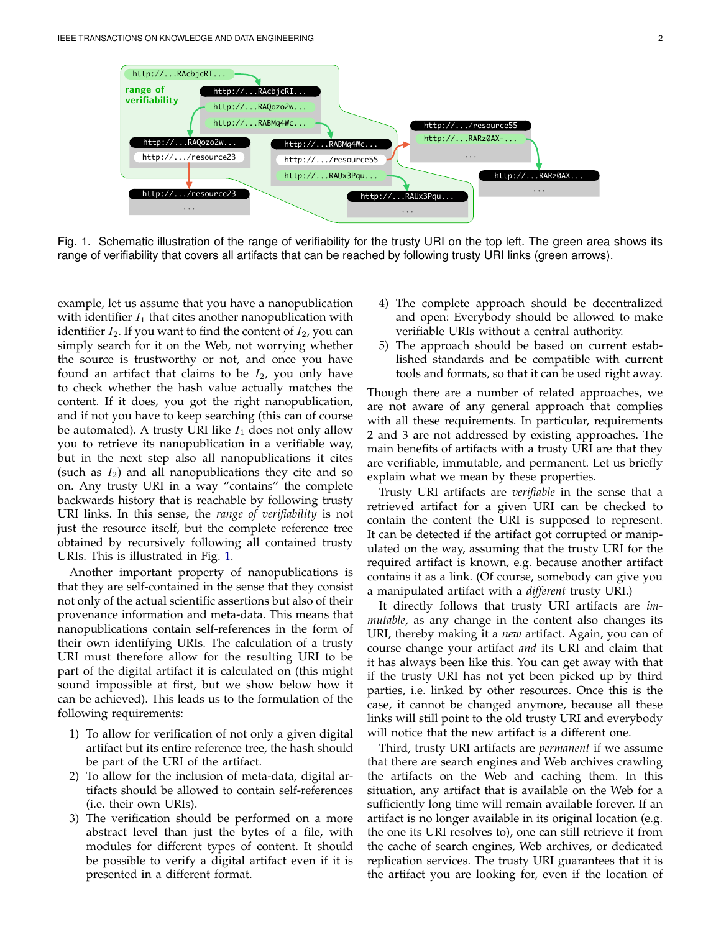

<span id="page-1-0"></span>Fig. 1. Schematic illustration of the range of verifiability for the trusty URI on the top left. The green area shows its range of verifiability that covers all artifacts that can be reached by following trusty URI links (green arrows).

example, let us assume that you have a nanopublication with identifier  $I_1$  that cites another nanopublication with identifier  $I_2$ . If you want to find the content of  $I_2$ , you can simply search for it on the Web, not worrying whether the source is trustworthy or not, and once you have found an artifact that claims to be  $I_2$ , you only have to check whether the hash value actually matches the content. If it does, you got the right nanopublication, and if not you have to keep searching (this can of course be automated). A trusty URI like  $I_1$  does not only allow you to retrieve its nanopublication in a verifiable way, but in the next step also all nanopublications it cites (such as  $I_2$ ) and all nanopublications they cite and so on. Any trusty URI in a way "contains" the complete backwards history that is reachable by following trusty URI links. In this sense, the *range of verifiability* is not just the resource itself, but the complete reference tree obtained by recursively following all contained trusty URIs. This is illustrated in Fig. [1.](#page-1-0)

Another important property of nanopublications is that they are self-contained in the sense that they consist not only of the actual scientific assertions but also of their provenance information and meta-data. This means that nanopublications contain self-references in the form of their own identifying URIs. The calculation of a trusty URI must therefore allow for the resulting URI to be part of the digital artifact it is calculated on (this might sound impossible at first, but we show below how it can be achieved). This leads us to the formulation of the following requirements:

- 1) To allow for verification of not only a given digital artifact but its entire reference tree, the hash should be part of the URI of the artifact.
- 2) To allow for the inclusion of meta-data, digital artifacts should be allowed to contain self-references (i.e. their own URIs).
- 3) The verification should be performed on a more abstract level than just the bytes of a file, with modules for different types of content. It should be possible to verify a digital artifact even if it is presented in a different format.
- 4) The complete approach should be decentralized and open: Everybody should be allowed to make verifiable URIs without a central authority.
- 5) The approach should be based on current established standards and be compatible with current tools and formats, so that it can be used right away.

Though there are a number of related approaches, we are not aware of any general approach that complies with all these requirements. In particular, requirements 2 and 3 are not addressed by existing approaches. The main benefits of artifacts with a trusty URI are that they are verifiable, immutable, and permanent. Let us briefly explain what we mean by these properties.

Trusty URI artifacts are *verifiable* in the sense that a retrieved artifact for a given URI can be checked to contain the content the URI is supposed to represent. It can be detected if the artifact got corrupted or manipulated on the way, assuming that the trusty URI for the required artifact is known, e.g. because another artifact contains it as a link. (Of course, somebody can give you a manipulated artifact with a *different* trusty URI.)

It directly follows that trusty URI artifacts are *immutable*, as any change in the content also changes its URI, thereby making it a *new* artifact. Again, you can of course change your artifact *and* its URI and claim that it has always been like this. You can get away with that if the trusty URI has not yet been picked up by third parties, i.e. linked by other resources. Once this is the case, it cannot be changed anymore, because all these links will still point to the old trusty URI and everybody will notice that the new artifact is a different one.

Third, trusty URI artifacts are *permanent* if we assume that there are search engines and Web archives crawling the artifacts on the Web and caching them. In this situation, any artifact that is available on the Web for a sufficiently long time will remain available forever. If an artifact is no longer available in its original location (e.g. the one its URI resolves to), one can still retrieve it from the cache of search engines, Web archives, or dedicated replication services. The trusty URI guarantees that it is the artifact you are looking for, even if the location of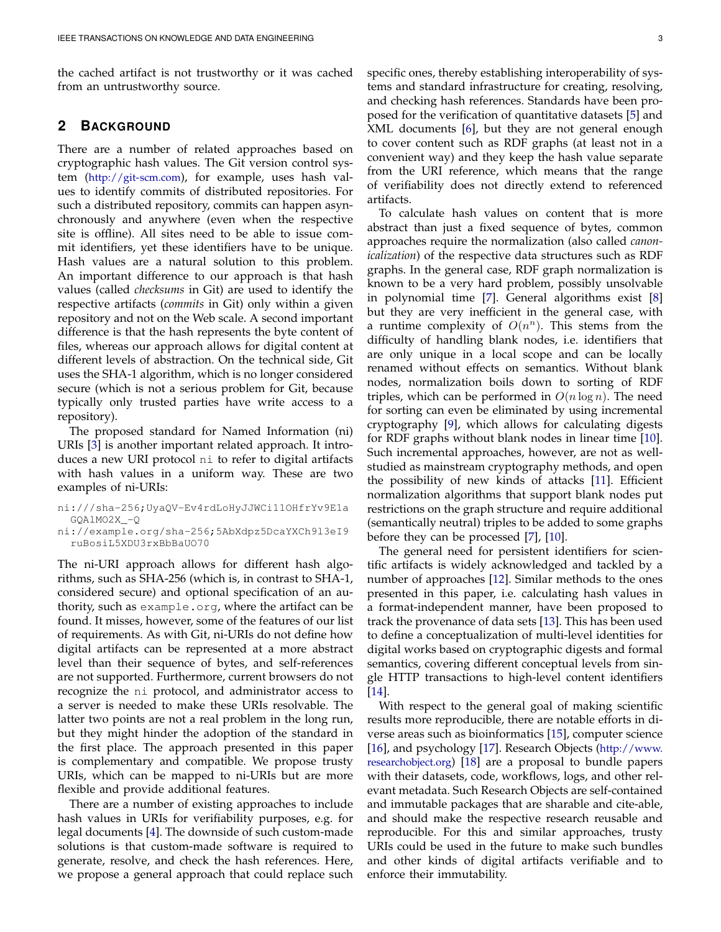the cached artifact is not trustworthy or it was cached from an untrustworthy source.

# **2 BACKGROUND**

There are a number of related approaches based on cryptographic hash values. The Git version control system (<http://git-scm.com>), for example, uses hash values to identify commits of distributed repositories. For such a distributed repository, commits can happen asynchronously and anywhere (even when the respective site is offline). All sites need to be able to issue commit identifiers, yet these identifiers have to be unique. Hash values are a natural solution to this problem. An important difference to our approach is that hash values (called *checksums* in Git) are used to identify the respective artifacts (*commits* in Git) only within a given repository and not on the Web scale. A second important difference is that the hash represents the byte content of files, whereas our approach allows for digital content at different levels of abstraction. On the technical side, Git uses the SHA-1 algorithm, which is no longer considered secure (which is not a serious problem for Git, because typically only trusted parties have write access to a repository).

The proposed standard for Named Information (ni) URIs [\[3\]](#page-9-2) is another important related approach. It introduces a new URI protocol ni to refer to digital artifacts with hash values in a uniform way. These are two examples of ni-URIs:

- ni:///sha-256;UyaQV-Ev4rdLoHyJJWCi11OHfrYv9E1a GQAlMO2X\_-Q
- ni://example.org/sha-256;5AbXdpz5DcaYXCh9l3eI9 ruBosiL5XDU3rxBbBaUO70

The ni-URI approach allows for different hash algorithms, such as SHA-256 (which is, in contrast to SHA-1, considered secure) and optional specification of an authority, such as example.org, where the artifact can be found. It misses, however, some of the features of our list of requirements. As with Git, ni-URIs do not define how digital artifacts can be represented at a more abstract level than their sequence of bytes, and self-references are not supported. Furthermore, current browsers do not recognize the ni protocol, and administrator access to a server is needed to make these URIs resolvable. The latter two points are not a real problem in the long run, but they might hinder the adoption of the standard in the first place. The approach presented in this paper is complementary and compatible. We propose trusty URIs, which can be mapped to ni-URIs but are more flexible and provide additional features.

There are a number of existing approaches to include hash values in URIs for verifiability purposes, e.g. for legal documents [\[4\]](#page-9-3). The downside of such custom-made solutions is that custom-made software is required to generate, resolve, and check the hash references. Here, we propose a general approach that could replace such

specific ones, thereby establishing interoperability of systems and standard infrastructure for creating, resolving, and checking hash references. Standards have been proposed for the verification of quantitative datasets [\[5\]](#page-9-4) and XML documents [\[6\]](#page-9-5), but they are not general enough to cover content such as RDF graphs (at least not in a convenient way) and they keep the hash value separate from the URI reference, which means that the range of verifiability does not directly extend to referenced artifacts.

To calculate hash values on content that is more abstract than just a fixed sequence of bytes, common approaches require the normalization (also called *canonicalization*) of the respective data structures such as RDF graphs. In the general case, RDF graph normalization is known to be a very hard problem, possibly unsolvable in polynomial time [\[7\]](#page-9-6). General algorithms exist [\[8\]](#page-9-7) but they are very inefficient in the general case, with a runtime complexity of  $O(n^n)$ . This stems from the difficulty of handling blank nodes, i.e. identifiers that are only unique in a local scope and can be locally renamed without effects on semantics. Without blank nodes, normalization boils down to sorting of RDF triples, which can be performed in  $O(n \log n)$ . The need for sorting can even be eliminated by using incremental cryptography [\[9\]](#page-9-8), which allows for calculating digests for RDF graphs without blank nodes in linear time [\[10\]](#page-10-0). Such incremental approaches, however, are not as wellstudied as mainstream cryptography methods, and open the possibility of new kinds of attacks [\[11\]](#page-10-1). Efficient normalization algorithms that support blank nodes put restrictions on the graph structure and require additional (semantically neutral) triples to be added to some graphs before they can be processed [\[7\]](#page-9-6), [\[10\]](#page-10-0).

The general need for persistent identifiers for scientific artifacts is widely acknowledged and tackled by a number of approaches [\[12\]](#page-10-2). Similar methods to the ones presented in this paper, i.e. calculating hash values in a format-independent manner, have been proposed to track the provenance of data sets [\[13\]](#page-10-3). This has been used to define a conceptualization of multi-level identities for digital works based on cryptographic digests and formal semantics, covering different conceptual levels from single HTTP transactions to high-level content identifiers [\[14\]](#page-10-4).

With respect to the general goal of making scientific results more reproducible, there are notable efforts in diverse areas such as bioinformatics [\[15\]](#page-10-5), computer science [\[16\]](#page-10-6), and psychology [\[17\]](#page-10-7). Research Objects ([http://www.](http://www.researchobject.org) [researchobject.org](http://www.researchobject.org)) [\[18\]](#page-10-8) are a proposal to bundle papers with their datasets, code, workflows, logs, and other relevant metadata. Such Research Objects are self-contained and immutable packages that are sharable and cite-able, and should make the respective research reusable and reproducible. For this and similar approaches, trusty URIs could be used in the future to make such bundles and other kinds of digital artifacts verifiable and to enforce their immutability.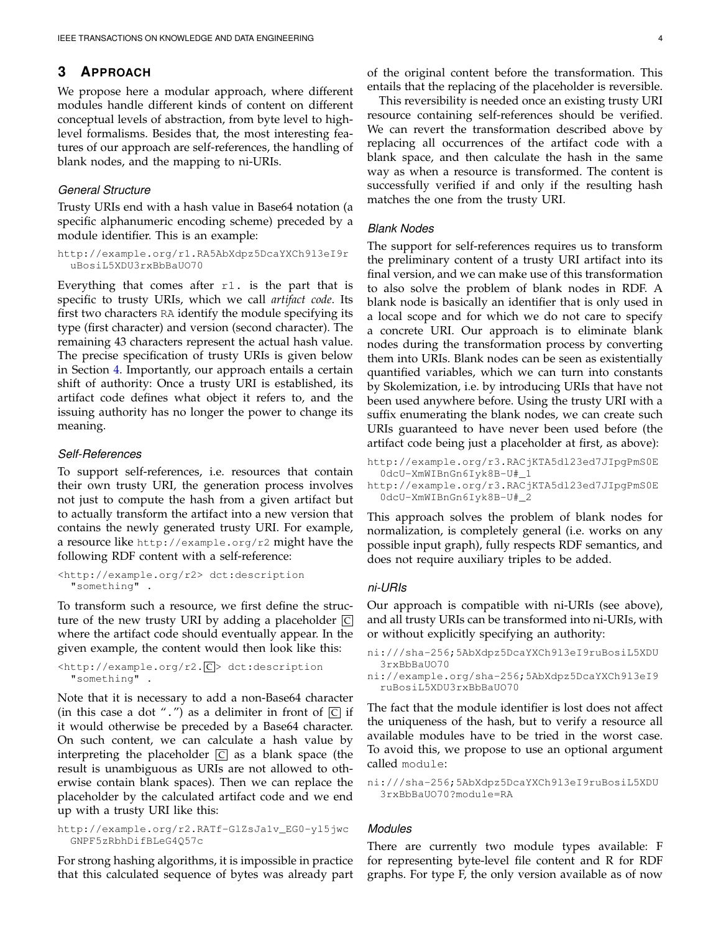# **3 APPROACH**

We propose here a modular approach, where different modules handle different kinds of content on different conceptual levels of abstraction, from byte level to highlevel formalisms. Besides that, the most interesting features of our approach are self-references, the handling of blank nodes, and the mapping to ni-URIs.

#### *General Structure*

Trusty URIs end with a hash value in Base64 notation (a specific alphanumeric encoding scheme) preceded by a module identifier. This is an example:

http://example.org/r1.RA5AbXdpz5DcaYXCh9l3eI9r uBosiL5XDU3rxBbBaUO70

Everything that comes after  $r1$ . is the part that is specific to trusty URIs, which we call *artifact code*. Its first two characters RA identify the module specifying its type (first character) and version (second character). The remaining 43 characters represent the actual hash value. The precise specification of trusty URIs is given below in Section [4.](#page-4-0) Importantly, our approach entails a certain shift of authority: Once a trusty URI is established, its artifact code defines what object it refers to, and the issuing authority has no longer the power to change its meaning.

## *Self-References*

To support self-references, i.e. resources that contain their own trusty URI, the generation process involves not just to compute the hash from a given artifact but to actually transform the artifact into a new version that contains the newly generated trusty URI. For example, a resource like http://example.org/r2 might have the following RDF content with a self-reference:

```
<http://example.org/r2> dct:description
  "something" .
```
To transform such a resource, we first define the structure of the new trusty URI by adding a placeholder  $\boxed{C}$ where the artifact code should eventually appear. In the given example, the content would then look like this:

 $\langle \text{http://example.org/r2.}|\overline{C}\rangle$  dct:description "something" .

Note that it is necessary to add a non-Base64 character (in this case a dot ".") as a delimiter in front of  $\boxed{\text{C}}$  if it would otherwise be preceded by a Base64 character. On such content, we can calculate a hash value by interpreting the placeholder  $\boxed{C}$  as a blank space (the result is unambiguous as URIs are not allowed to otherwise contain blank spaces). Then we can replace the placeholder by the calculated artifact code and we end up with a trusty URI like this:

http://example.org/r2.RATf-GlZsJa1v\_EG0-yl5jwc GNPF5zRbhDifBLeG4Q57c

For strong hashing algorithms, it is impossible in practice that this calculated sequence of bytes was already part

of the original content before the transformation. This entails that the replacing of the placeholder is reversible.

This reversibility is needed once an existing trusty URI resource containing self-references should be verified. We can revert the transformation described above by replacing all occurrences of the artifact code with a blank space, and then calculate the hash in the same way as when a resource is transformed. The content is successfully verified if and only if the resulting hash matches the one from the trusty URI.

#### *Blank Nodes*

The support for self-references requires us to transform the preliminary content of a trusty URI artifact into its final version, and we can make use of this transformation to also solve the problem of blank nodes in RDF. A blank node is basically an identifier that is only used in a local scope and for which we do not care to specify a concrete URI. Our approach is to eliminate blank nodes during the transformation process by converting them into URIs. Blank nodes can be seen as existentially quantified variables, which we can turn into constants by Skolemization, i.e. by introducing URIs that have not been used anywhere before. Using the trusty URI with a suffix enumerating the blank nodes, we can create such URIs guaranteed to have never been used before (the artifact code being just a placeholder at first, as above):

```
http://example.org/r3.RACjKTA5dl23ed7JIpgPmS0E
 0dcU-XmWIBnGn6Iyk8B-U#_1
```
http://example.org/r3.RACjKTA5dl23ed7JIpgPmS0E 0dcU-XmWIBnGn6Iyk8B-U#\_2

This approach solves the problem of blank nodes for normalization, is completely general (i.e. works on any possible input graph), fully respects RDF semantics, and does not require auxiliary triples to be added.

#### *ni-URIs*

Our approach is compatible with ni-URIs (see above), and all trusty URIs can be transformed into ni-URIs, with or without explicitly specifying an authority:

- ni:///sha-256;5AbXdpz5DcaYXCh9l3eI9ruBosiL5XDU 3rxBbBaUO70
- ni://example.org/sha-256;5AbXdpz5DcaYXCh9l3eI9 ruBosiL5XDU3rxBbBaUO70

The fact that the module identifier is lost does not affect the uniqueness of the hash, but to verify a resource all available modules have to be tried in the worst case. To avoid this, we propose to use an optional argument called module:

```
ni:///sha-256;5AbXdpz5DcaYXCh9l3eI9ruBosiL5XDU
  3rxBbBaUO70?module=RA
```
## *Modules*

There are currently two module types available: F for representing byte-level file content and R for RDF graphs. For type F, the only version available as of now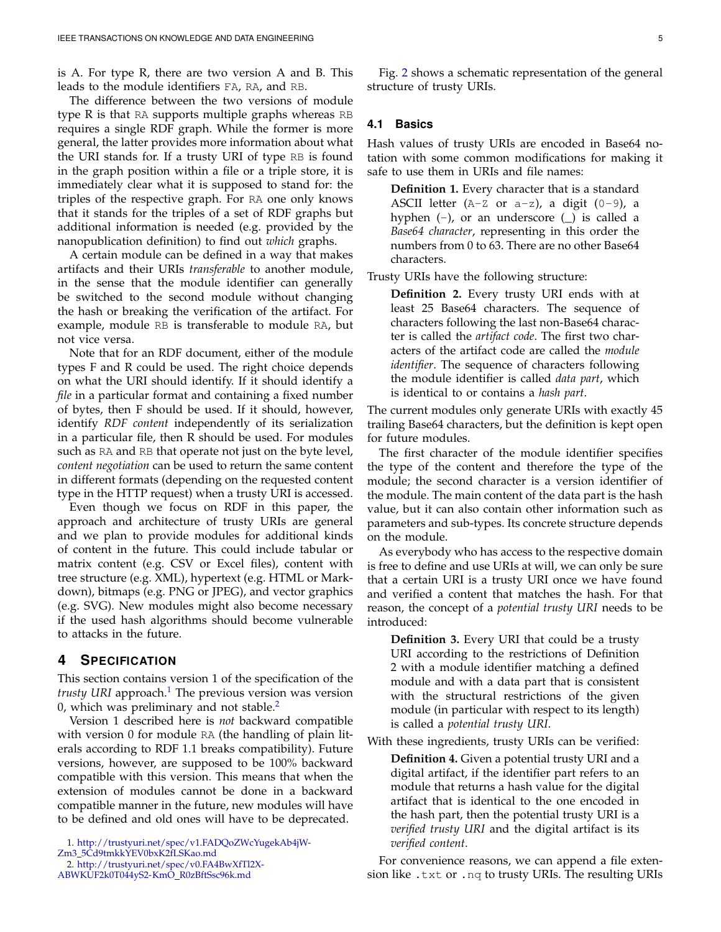is A. For type R, there are two version A and B. This leads to the module identifiers FA, RA, and RB.

The difference between the two versions of module type R is that RA supports multiple graphs whereas RB requires a single RDF graph. While the former is more general, the latter provides more information about what the URI stands for. If a trusty URI of type RB is found in the graph position within a file or a triple store, it is immediately clear what it is supposed to stand for: the triples of the respective graph. For RA one only knows that it stands for the triples of a set of RDF graphs but additional information is needed (e.g. provided by the nanopublication definition) to find out *which* graphs.

A certain module can be defined in a way that makes artifacts and their URIs *transferable* to another module, in the sense that the module identifier can generally be switched to the second module without changing the hash or breaking the verification of the artifact. For example, module RB is transferable to module RA, but not vice versa.

Note that for an RDF document, either of the module types F and R could be used. The right choice depends on what the URI should identify. If it should identify a *file* in a particular format and containing a fixed number of bytes, then F should be used. If it should, however, identify *RDF content* independently of its serialization in a particular file, then R should be used. For modules such as RA and RB that operate not just on the byte level, *content negotiation* can be used to return the same content in different formats (depending on the requested content type in the HTTP request) when a trusty URI is accessed.

Even though we focus on RDF in this paper, the approach and architecture of trusty URIs are general and we plan to provide modules for additional kinds of content in the future. This could include tabular or matrix content (e.g. CSV or Excel files), content with tree structure (e.g. XML), hypertext (e.g. HTML or Markdown), bitmaps (e.g. PNG or JPEG), and vector graphics (e.g. SVG). New modules might also become necessary if the used hash algorithms should become vulnerable to attacks in the future.

# <span id="page-4-0"></span>**4 SPECIFICATION**

This section contains version 1 of the specification of the *trusty URI* approach.<sup>[1](#page-4-1)</sup> The previous version was version 0, which was preliminary and not stable. $^2$  $^2$ 

Version 1 described here is *not* backward compatible with version 0 for module RA (the handling of plain literals according to RDF 1.1 breaks compatibility). Future versions, however, are supposed to be 100% backward compatible with this version. This means that when the extension of modules cannot be done in a backward compatible manner in the future, new modules will have to be defined and old ones will have to be deprecated.

<span id="page-4-1"></span>1. [http://trustyuri.net/spec/v1.FADQoZWcYugekAb4jW-](http://trustyuri.net/spec/v1.FADQoZWcYugekAb4jW-Zm3_5Cd9tmkkYEV0bxK2fLSKao.md)

Zm3 [5Cd9tmkkYEV0bxK2fLSKao.md](http://trustyuri.net/spec/v1.FADQoZWcYugekAb4jW-Zm3_5Cd9tmkkYEV0bxK2fLSKao.md)

<span id="page-4-2"></span>2. [http://trustyuri.net/spec/v0.FA4BwXfTl2X-](http://trustyuri.net/spec/v0.FA4BwXfTl2X-ABWKUF2k0T044yS2-KmO_R0zBftSsc96k.md)[ABWKUF2k0T044yS2-KmO](http://trustyuri.net/spec/v0.FA4BwXfTl2X-ABWKUF2k0T044yS2-KmO_R0zBftSsc96k.md)\_R0zBftSsc96k.md

Fig. [2](#page-5-0) shows a schematic representation of the general structure of trusty URIs.

# **4.1 Basics**

Hash values of trusty URIs are encoded in Base64 notation with some common modifications for making it safe to use them in URIs and file names:

**Definition 1.** Every character that is a standard ASCII letter  $(A-Z \text{ or } a-z)$ , a digit  $(0-9)$ , a hyphen  $(-)$ , or an underscore  $($  is called a *Base64 character*, representing in this order the numbers from 0 to 63. There are no other Base64 characters.

Trusty URIs have the following structure:

**Definition 2.** Every trusty URI ends with at least 25 Base64 characters. The sequence of characters following the last non-Base64 character is called the *artifact code*. The first two characters of the artifact code are called the *module identifier*. The sequence of characters following the module identifier is called *data part*, which is identical to or contains a *hash part*.

The current modules only generate URIs with exactly 45 trailing Base64 characters, but the definition is kept open for future modules.

The first character of the module identifier specifies the type of the content and therefore the type of the module; the second character is a version identifier of the module. The main content of the data part is the hash value, but it can also contain other information such as parameters and sub-types. Its concrete structure depends on the module.

As everybody who has access to the respective domain is free to define and use URIs at will, we can only be sure that a certain URI is a trusty URI once we have found and verified a content that matches the hash. For that reason, the concept of a *potential trusty URI* needs to be introduced:

**Definition 3.** Every URI that could be a trusty URI according to the restrictions of Definition 2 with a module identifier matching a defined module and with a data part that is consistent with the structural restrictions of the given module (in particular with respect to its length) is called a *potential trusty URI*.

With these ingredients, trusty URIs can be verified:

**Definition 4.** Given a potential trusty URI and a digital artifact, if the identifier part refers to an module that returns a hash value for the digital artifact that is identical to the one encoded in the hash part, then the potential trusty URI is a *verified trusty URI* and the digital artifact is its *verified content*.

For convenience reasons, we can append a file extension like .txt or .nq to trusty URIs. The resulting URIs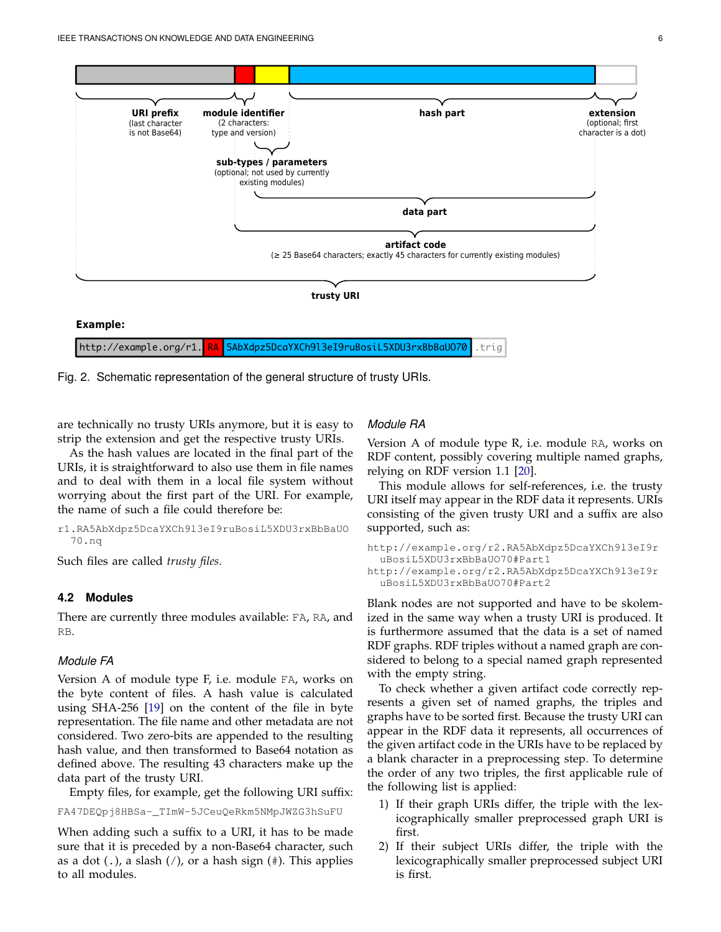

<span id="page-5-0"></span>

Fig. 2. Schematic representation of the general structure of trusty URIs.

are technically no trusty URIs anymore, but it is easy to strip the extension and get the respective trusty URIs.

As the hash values are located in the final part of the URIs, it is straightforward to also use them in file names and to deal with them in a local file system without worrying about the first part of the URI. For example, the name of such a file could therefore be:

```
r1.RA5AbXdpz5DcaYXCh9l3eI9ruBosiL5XDU3rxBbBaUO
  70.nq
```
Such files are called *trusty files*.

# **4.2 Modules**

There are currently three modules available: FA, RA, and RB.

# *Module FA*

Version A of module type F, i.e. module FA, works on the byte content of files. A hash value is calculated using SHA-256 [\[19\]](#page-10-9) on the content of the file in byte representation. The file name and other metadata are not considered. Two zero-bits are appended to the resulting hash value, and then transformed to Base64 notation as defined above. The resulting 43 characters make up the data part of the trusty URI.

Empty files, for example, get the following URI suffix:

FA47DEQpj8HBSa-\_TImW-5JCeuQeRkm5NMpJWZG3hSuFU

When adding such a suffix to a URI, it has to be made sure that it is preceded by a non-Base64 character, such as a dot  $(.)$ , a slash  $//$ , or a hash sign  $(*)$ . This applies to all modules.

# *Module RA*

Version A of module type R, i.e. module RA, works on RDF content, possibly covering multiple named graphs, relying on RDF version 1.1 [\[20\]](#page-10-10).

This module allows for self-references, i.e. the trusty URI itself may appear in the RDF data it represents. URIs consisting of the given trusty URI and a suffix are also supported, such as:

```
http://example.org/r2.RA5AbXdpz5DcaYXCh9l3eI9r
  uBosiL5XDU3rxBbBaUO70#Part1
http://example.org/r2.RA5AbXdpz5DcaYXCh9l3eI9r
  uBosiL5XDU3rxBbBaUO70#Part2
```
Blank nodes are not supported and have to be skolemized in the same way when a trusty URI is produced. It is furthermore assumed that the data is a set of named RDF graphs. RDF triples without a named graph are considered to belong to a special named graph represented with the empty string.

To check whether a given artifact code correctly represents a given set of named graphs, the triples and graphs have to be sorted first. Because the trusty URI can appear in the RDF data it represents, all occurrences of the given artifact code in the URIs have to be replaced by a blank character in a preprocessing step. To determine the order of any two triples, the first applicable rule of the following list is applied:

- 1) If their graph URIs differ, the triple with the lexicographically smaller preprocessed graph URI is first.
- 2) If their subject URIs differ, the triple with the lexicographically smaller preprocessed subject URI is first.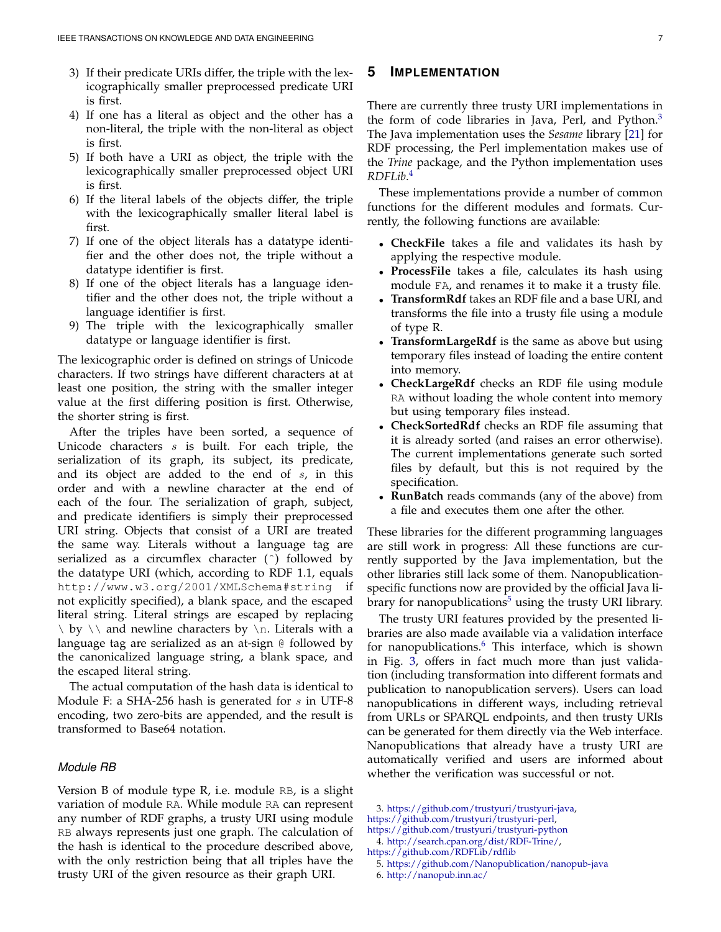- 3) If their predicate URIs differ, the triple with the lexicographically smaller preprocessed predicate URI is first.
- 4) If one has a literal as object and the other has a non-literal, the triple with the non-literal as object is first.
- 5) If both have a URI as object, the triple with the lexicographically smaller preprocessed object URI is first.
- 6) If the literal labels of the objects differ, the triple with the lexicographically smaller literal label is first.
- 7) If one of the object literals has a datatype identifier and the other does not, the triple without a datatype identifier is first.
- 8) If one of the object literals has a language identifier and the other does not, the triple without a language identifier is first.
- 9) The triple with the lexicographically smaller datatype or language identifier is first.

The lexicographic order is defined on strings of Unicode characters. If two strings have different characters at at least one position, the string with the smaller integer value at the first differing position is first. Otherwise, the shorter string is first.

After the triples have been sorted, a sequence of Unicode characters  $s$  is built. For each triple, the serialization of its graph, its subject, its predicate, and its object are added to the end of s, in this order and with a newline character at the end of each of the four. The serialization of graph, subject, and predicate identifiers is simply their preprocessed URI string. Objects that consist of a URI are treated the same way. Literals without a language tag are serialized as a circumflex character (ˆ) followed by the datatype URI (which, according to RDF 1.1, equals http://www.w3.org/2001/XMLSchema#string if not explicitly specified), a blank space, and the escaped literal string. Literal strings are escaped by replacing  $\setminus$  by  $\setminus \setminus$  and newline characters by  $\setminus$ n. Literals with a language tag are serialized as an at-sign @ followed by the canonicalized language string, a blank space, and the escaped literal string.

The actual computation of the hash data is identical to Module F: a SHA-256 hash is generated for  $s$  in UTF-8 encoding, two zero-bits are appended, and the result is transformed to Base64 notation.

## *Module RB*

Version B of module type R, i.e. module RB, is a slight variation of module RA. While module RA can represent any number of RDF graphs, a trusty URI using module RB always represents just one graph. The calculation of the hash is identical to the procedure described above, with the only restriction being that all triples have the trusty URI of the given resource as their graph URI.

# **5 IMPLEMENTATION**

There are currently three trusty URI implementations in the form of code libraries in Java, Perl, and Python.<sup>[3](#page-6-0)</sup> The Java implementation uses the *Sesame* library [\[21\]](#page-10-11) for RDF processing, the Perl implementation makes use of the *Trine* package, and the Python implementation uses *RDFLib*. [4](#page-6-1)

These implementations provide a number of common functions for the different modules and formats. Currently, the following functions are available:

- **CheckFile** takes a file and validates its hash by applying the respective module.
- **ProcessFile** takes a file, calculates its hash using module FA, and renames it to make it a trusty file.
- **TransformRdf** takes an RDF file and a base URI, and transforms the file into a trusty file using a module of type R.
- **TransformLargeRdf** is the same as above but using temporary files instead of loading the entire content into memory.
- **CheckLargeRdf** checks an RDF file using module RA without loading the whole content into memory but using temporary files instead.
- **CheckSortedRdf** checks an RDF file assuming that it is already sorted (and raises an error otherwise). The current implementations generate such sorted files by default, but this is not required by the specification.
- **RunBatch** reads commands (any of the above) from a file and executes them one after the other.

These libraries for the different programming languages are still work in progress: All these functions are currently supported by the Java implementation, but the other libraries still lack some of them. Nanopublicationspecific functions now are provided by the official Java li-brary for nanopublications<sup>[5](#page-6-2)</sup> using the trusty URI library.

The trusty URI features provided by the presented libraries are also made available via a validation interface for nanopublications.<sup>[6](#page-6-3)</sup> This interface, which is shown in Fig. [3,](#page-7-0) offers in fact much more than just validation (including transformation into different formats and publication to nanopublication servers). Users can load nanopublications in different ways, including retrieval from URLs or SPARQL endpoints, and then trusty URIs can be generated for them directly via the Web interface. Nanopublications that already have a trusty URI are automatically verified and users are informed about whether the verification was successful or not.

[https://github.com/trustyuri/trustyuri-perl,](https://github.com/trustyuri/trustyuri-perl)

<span id="page-6-3"></span><span id="page-6-2"></span>5. <https://github.com/Nanopublication/nanopub-java> 6. <http://nanopub.inn.ac/>

<span id="page-6-0"></span><sup>3.</sup> [https://github.com/trustyuri/trustyuri-java,](https://github.com/trustyuri/trustyuri-java)

<span id="page-6-1"></span><https://github.com/trustyuri/trustyuri-python> 4. [http://search.cpan.org/dist/RDF-Trine/,](http://search.cpan.org/dist/RDF-Trine/)

<https://github.com/RDFLib/rdflib>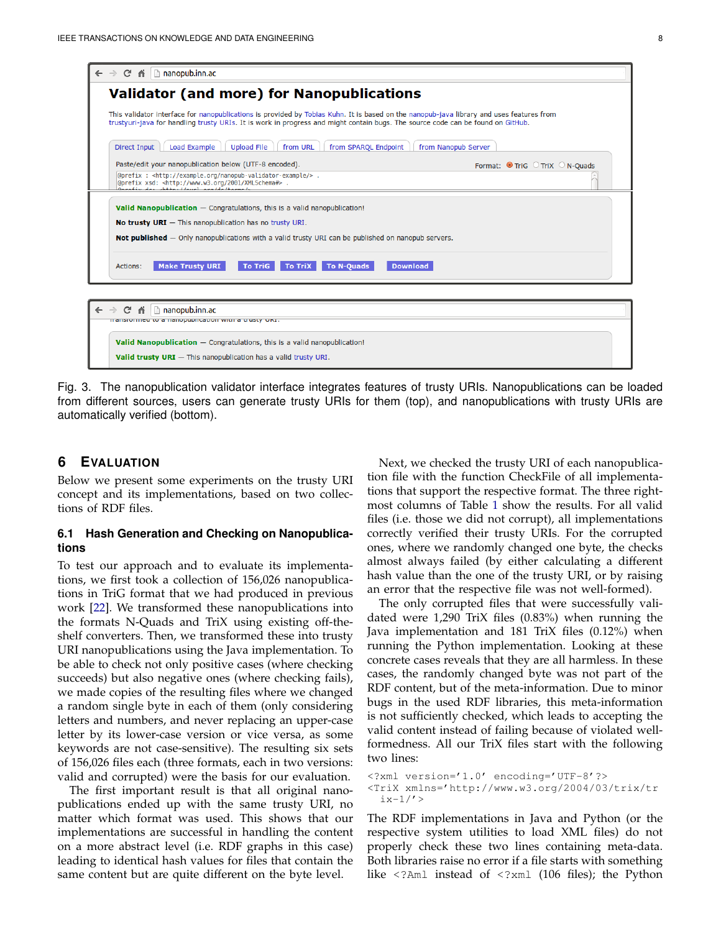| $\leftarrow$ $\rightarrow$ C' $\leftarrow$ $\parallel$ nanopub.inn.ac                                                                                                                                                                                                                 |  |  |  |  |  |  |  |  |
|---------------------------------------------------------------------------------------------------------------------------------------------------------------------------------------------------------------------------------------------------------------------------------------|--|--|--|--|--|--|--|--|
| <b>Validator (and more) for Nanopublications</b>                                                                                                                                                                                                                                      |  |  |  |  |  |  |  |  |
| This validator interface for nanopublications is provided by Tobias Kuhn. It is based on the nanopub-java library and uses features from<br>trustyuri-java for handling trusty URIs. It is work in progress and might contain bugs. The source code can be found on GitHub.           |  |  |  |  |  |  |  |  |
| Load Example<br><b>Upload File</b><br>from URL<br>from SPARQL Endpoint<br>from Nanopub Server<br><b>Direct Input</b>                                                                                                                                                                  |  |  |  |  |  |  |  |  |
| Paste/edit your nanopublication below (UTF-8 encoded).<br>Format: ■ TriG O TriX O N-Ouads<br>@prefix : <http: example.org="" nanopub-validator-example=""></http:> .<br>(@prefix xsd: <http: 2001="" www.w3.org="" xmlschema#="">.<br/>annotiv der shttp://purl_ana/de/torme/</http:> |  |  |  |  |  |  |  |  |
| Valid Nanopublication - Congratulations, this is a valid nanopublication!<br>No trusty $URI - This nanopublication has no trusty URI.$<br><b>Not published</b> $-$ Only nanopublications with a valid trusty URI can be published on nanopub servers.                                 |  |  |  |  |  |  |  |  |
| <b>Download</b><br><b>Make Trusty URI</b><br><b>To TriX</b><br><b>To N-Quads</b><br><b>To TriG</b><br>Actions:                                                                                                                                                                        |  |  |  |  |  |  |  |  |
|                                                                                                                                                                                                                                                                                       |  |  |  |  |  |  |  |  |
| nanopub.inn.ac<br>C N<br>$\leftarrow$ $\rightarrow$<br>mansionmed to a nanopublication with a trusty OKL.                                                                                                                                                                             |  |  |  |  |  |  |  |  |
| Valid Nanopublication - Congratulations, this is a valid nanopublication!<br>Valid trusty URI - This nanopublication has a valid trusty URI.                                                                                                                                          |  |  |  |  |  |  |  |  |

<span id="page-7-0"></span>from different sources, users can generate trusty URIs for them (top), and nanopublications with trusty URIs are Fig. 3. The nanopublication validator interface integrates features of trusty URIs. Nanopublications can be loaded automatically verified (bottom).

## **6 EVALUATION**

Below we present some experiments on the trusty URI concept and its implementations, based on two collections of RDF files.

# **6.1 Hash Generation and Checking on Nanopublications**

To test our approach and to evaluate its implementations, we first took a collection of 156,026 nanopublications in TriG format that we had produced in previous work [\[22\]](#page-10-12). We transformed these nanopublications into the formats N-Quads and TriX using existing off-theshelf converters. Then, we transformed these into trusty URI nanopublications using the Java implementation. To be able to check not only positive cases (where checking succeeds) but also negative ones (where checking fails), we made copies of the resulting files where we changed a random single byte in each of them (only considering letters and numbers, and never replacing an upper-case letter by its lower-case version or vice versa, as some keywords are not case-sensitive). The resulting six sets of 156,026 files each (three formats, each in two versions: valid and corrupted) were the basis for our evaluation.

The first important result is that all original nanopublications ended up with the same trusty URI, no matter which format was used. This shows that our implementations are successful in handling the content on a more abstract level (i.e. RDF graphs in this case) leading to identical hash values for files that contain the same content but are quite different on the byte level.

Next, we checked the trusty URI of each nanopublication file with the function CheckFile of all implementations that support the respective format. The three rightmost columns of Table [1](#page-8-0) show the results. For all valid files (i.e. those we did not corrupt), all implementations correctly verified their trusty URIs. For the corrupted ones, where we randomly changed one byte, the checks almost always failed (by either calculating a different hash value than the one of the trusty URI, or by raising an error that the respective file was not well-formed).

The only corrupted files that were successfully validated were 1,290 TriX files (0.83%) when running the Java implementation and 181 TriX files (0.12%) when running the Python implementation. Looking at these concrete cases reveals that they are all harmless. In these cases, the randomly changed byte was not part of the RDF content, but of the meta-information. Due to minor bugs in the used RDF libraries, this meta-information is not sufficiently checked, which leads to accepting the valid content instead of failing because of violated wellformedness. All our TriX files start with the following two lines:

<?xml version='1.0' encoding='UTF-8'?>

<TriX xmlns='http://www.w3.org/2004/03/trix/tr  $ix-1/$ '>

The RDF implementations in Java and Python (or the respective system utilities to load XML files) do not properly check these two lines containing meta-data. Both libraries raise no error if a file starts with something like  $\leq$ ?Aml instead of  $\leq$ ?xml (106 files); the Python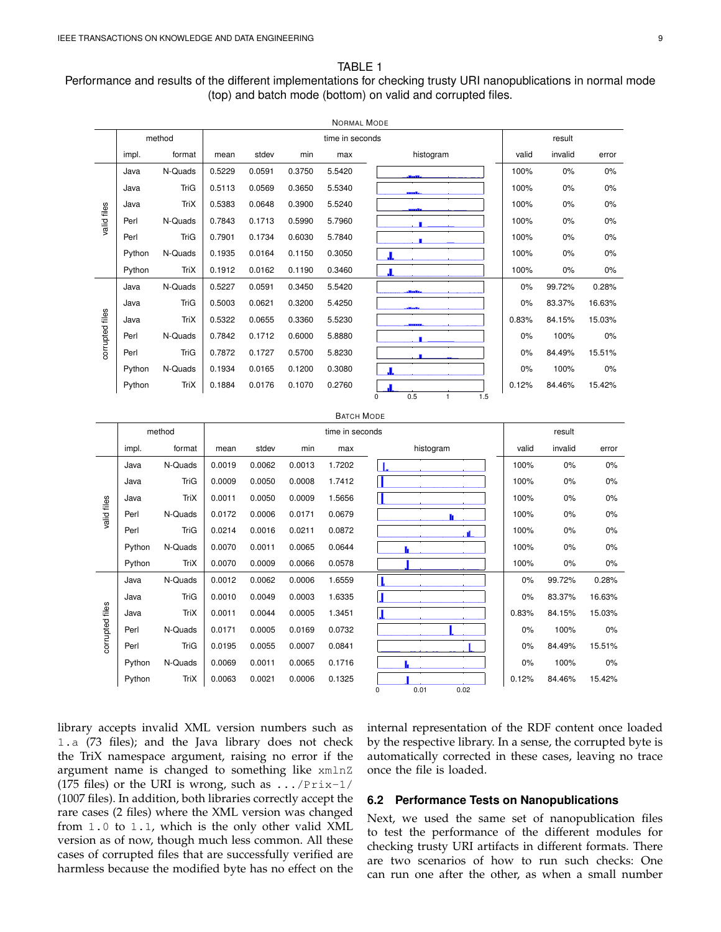#### TABLE 1

# <span id="page-8-0"></span>Performance and results of the different implementations for checking trusty URI nanopublications in normal mode (top) and batch mode (bottom) on valid and corrupted files.

| <b>NORMAL MODE</b> |        |             |                 |        |        |        |                                        |       |         |        |
|--------------------|--------|-------------|-----------------|--------|--------|--------|----------------------------------------|-------|---------|--------|
|                    | method |             | time in seconds |        |        |        |                                        |       | result  |        |
|                    | impl.  | format      | mean            | stdev  | min    | max    | histogram                              | valid | invalid | error  |
| valid files        | Java   | N-Quads     | 0.5229          | 0.0591 | 0.3750 | 5.5420 | and a                                  | 100%  | 0%      | 0%     |
|                    | Java   | <b>TriG</b> | 0.5113          | 0.0569 | 0.3650 | 5.5340 | and a                                  | 100%  | 0%      | 0%     |
|                    | Java   | <b>TriX</b> | 0.5383          | 0.0648 | 0.3900 | 5.5240 |                                        | 100%  | 0%      | 0%     |
|                    | Perl   | N-Quads     | 0.7843          | 0.1713 | 0.5990 | 5.7960 |                                        | 100%  | 0%      | 0%     |
|                    | Perl   | <b>TriG</b> | 0.7901          | 0.1734 | 0.6030 | 5.7840 |                                        | 100%  | 0%      | 0%     |
|                    | Python | N-Quads     | 0.1935          | 0.0164 | 0.1150 | 0.3050 |                                        | 100%  | 0%      | 0%     |
|                    | Python | TriX        | 0.1912          | 0.0162 | 0.1190 | 0.3460 |                                        | 100%  | 0%      | $0\%$  |
| corrupted files    | Java   | N-Quads     | 0.5227          | 0.0591 | 0.3450 | 5.5420 |                                        | 0%    | 99.72%  | 0.28%  |
|                    | Java   | <b>TriG</b> | 0.5003          | 0.0621 | 0.3200 | 5.4250 |                                        | 0%    | 83.37%  | 16.63% |
|                    | Java   | TriX        | 0.5322          | 0.0655 | 0.3360 | 5.5230 |                                        | 0.83% | 84.15%  | 15.03% |
|                    | Perl   | N-Quads     | 0.7842          | 0.1712 | 0.6000 | 5.8880 |                                        | 0%    | 100%    | $0\%$  |
|                    | Perl   | <b>TriG</b> | 0.7872          | 0.1727 | 0.5700 | 5.8230 |                                        | 0%    | 84.49%  | 15.51% |
|                    | Python | N-Quads     | 0.1934          | 0.0165 | 0.1200 | 0.3080 |                                        | 0%    | 100%    | $0\%$  |
|                    | Python | TriX        | 0.1884          | 0.0176 | 0.1070 | 0.2760 |                                        | 0.12% | 84.46%  | 15.42% |
|                    |        |             |                 |        |        |        | 0.5<br>1.5<br>$\mathbf{1}$<br>$\Omega$ |       |         |        |

#### BATCH MODE

|                 | method |             | time in seconds |        |        |        |                          |       | result  |        |
|-----------------|--------|-------------|-----------------|--------|--------|--------|--------------------------|-------|---------|--------|
|                 | impl.  | format      | mean            | stdev  | min    | max    | histogram                | valid | invalid | error  |
| valid files     | Java   | N-Quads     | 0.0019          | 0.0062 | 0.0013 | 1.7202 | L.                       | 100%  | 0%      | $0\%$  |
|                 | Java   | <b>TriG</b> | 0.0009          | 0.0050 | 0.0008 | 1.7412 |                          | 100%  | $0\%$   | $0\%$  |
|                 | Java   | TriX        | 0.0011          | 0.0050 | 0.0009 | 1.5656 |                          | 100%  | $0\%$   | $0\%$  |
|                 | Perl   | N-Quads     | 0.0172          | 0.0006 | 0.0171 | 0.0679 |                          | 100%  | $0\%$   | $0\%$  |
|                 | Perl   | TriG        | 0.0214          | 0.0016 | 0.0211 | 0.0872 |                          | 100%  | $0\%$   | $0\%$  |
|                 | Python | N-Quads     | 0.0070          | 0.0011 | 0.0065 | 0.0644 |                          | 100%  | $0\%$   | $0\%$  |
|                 | Python | TriX        | 0.0070          | 0.0009 | 0.0066 | 0.0578 |                          | 100%  | $0\%$   | $0\%$  |
| corrupted files | Java   | N-Quads     | 0.0012          | 0.0062 | 0.0006 | 1.6559 |                          | $0\%$ | 99.72%  | 0.28%  |
|                 | Java   | TriG        | 0.0010          | 0.0049 | 0.0003 | 1.6335 |                          | $0\%$ | 83.37%  | 16.63% |
|                 | Java   | TriX        | 0.0011          | 0.0044 | 0.0005 | 1.3451 |                          | 0.83% | 84.15%  | 15.03% |
|                 | Perl   | N-Quads     | 0.0171          | 0.0005 | 0.0169 | 0.0732 |                          | $0\%$ | 100%    | $0\%$  |
|                 | Perl   | <b>TriG</b> | 0.0195          | 0.0055 | 0.0007 | 0.0841 |                          | $0\%$ | 84.49%  | 15.51% |
|                 | Python | N-Quads     | 0.0069          | 0.0011 | 0.0065 | 0.1716 |                          | $0\%$ | 100%    | $0\%$  |
|                 | Python | <b>TriX</b> | 0.0063          | 0.0021 | 0.0006 | 0.1325 | 0.02<br>0.01<br>$\Omega$ | 0.12% | 84.46%  | 15.42% |

library accepts invalid XML version numbers such as 1.a (73 files); and the Java library does not check the TriX namespace argument, raising no error if the argument name is changed to something like xmlnZ (175 files) or the URI is wrong, such as  $\dots$  /Prix-1/ (1007 files). In addition, both libraries correctly accept the rare cases (2 files) where the XML version was changed from 1.0 to 1.1, which is the only other valid XML version as of now, though much less common. All these cases of corrupted files that are successfully verified are harmless because the modified byte has no effect on the

internal representation of the RDF content once loaded by the respective library. In a sense, the corrupted byte is automatically corrected in these cases, leaving no trace once the file is loaded.

#### **6.2 Performance Tests on Nanopublications**

Next, we used the same set of nanopublication files to test the performance of the different modules for checking trusty URI artifacts in different formats. There are two scenarios of how to run such checks: One can run one after the other, as when a small number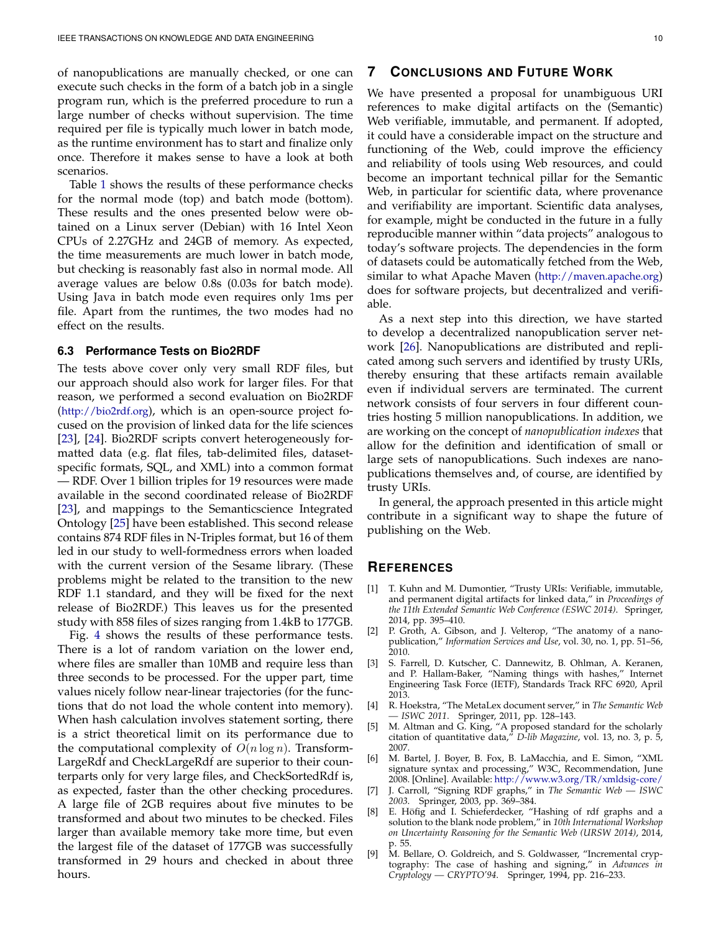of nanopublications are manually checked, or one can execute such checks in the form of a batch job in a single program run, which is the preferred procedure to run a large number of checks without supervision. The time required per file is typically much lower in batch mode, as the runtime environment has to start and finalize only once. Therefore it makes sense to have a look at both scenarios.

Table [1](#page-8-0) shows the results of these performance checks for the normal mode (top) and batch mode (bottom). These results and the ones presented below were obtained on a Linux server (Debian) with 16 Intel Xeon CPUs of 2.27GHz and 24GB of memory. As expected, the time measurements are much lower in batch mode, but checking is reasonably fast also in normal mode. All average values are below 0.8s (0.03s for batch mode). Using Java in batch mode even requires only 1ms per file. Apart from the runtimes, the two modes had no effect on the results.

#### **6.3 Performance Tests on Bio2RDF**

The tests above cover only very small RDF files, but our approach should also work for larger files. For that reason, we performed a second evaluation on Bio2RDF (<http://bio2rdf.org>), which is an open-source project focused on the provision of linked data for the life sciences [\[23\]](#page-10-13), [\[24\]](#page-10-14). Bio2RDF scripts convert heterogeneously formatted data (e.g. flat files, tab-delimited files, datasetspecific formats, SQL, and XML) into a common format — RDF. Over 1 billion triples for 19 resources were made available in the second coordinated release of Bio2RDF [\[23\]](#page-10-13), and mappings to the Semanticscience Integrated Ontology [\[25\]](#page-10-15) have been established. This second release contains 874 RDF files in N-Triples format, but 16 of them led in our study to well-formedness errors when loaded with the current version of the Sesame library. (These problems might be related to the transition to the new RDF 1.1 standard, and they will be fixed for the next release of Bio2RDF.) This leaves us for the presented study with 858 files of sizes ranging from 1.4kB to 177GB.

Fig. [4](#page-10-16) shows the results of these performance tests. There is a lot of random variation on the lower end, where files are smaller than 10MB and require less than three seconds to be processed. For the upper part, time values nicely follow near-linear trajectories (for the functions that do not load the whole content into memory). When hash calculation involves statement sorting, there is a strict theoretical limit on its performance due to the computational complexity of  $O(n \log n)$ . Transform-LargeRdf and CheckLargeRdf are superior to their counterparts only for very large files, and CheckSortedRdf is, as expected, faster than the other checking procedures. A large file of 2GB requires about five minutes to be transformed and about two minutes to be checked. Files larger than available memory take more time, but even the largest file of the dataset of 177GB was successfully transformed in 29 hours and checked in about three hours.

# **7 CONCLUSIONS AND FUTURE WORK**

We have presented a proposal for unambiguous URI references to make digital artifacts on the (Semantic) Web verifiable, immutable, and permanent. If adopted, it could have a considerable impact on the structure and functioning of the Web, could improve the efficiency and reliability of tools using Web resources, and could become an important technical pillar for the Semantic Web, in particular for scientific data, where provenance and verifiability are important. Scientific data analyses, for example, might be conducted in the future in a fully reproducible manner within "data projects" analogous to today's software projects. The dependencies in the form of datasets could be automatically fetched from the Web, similar to what Apache Maven (<http://maven.apache.org>) does for software projects, but decentralized and verifiable.

As a next step into this direction, we have started to develop a decentralized nanopublication server network [\[26\]](#page-10-17). Nanopublications are distributed and replicated among such servers and identified by trusty URIs, thereby ensuring that these artifacts remain available even if individual servers are terminated. The current network consists of four servers in four different countries hosting 5 million nanopublications. In addition, we are working on the concept of *nanopublication indexes* that allow for the definition and identification of small or large sets of nanopublications. Such indexes are nanopublications themselves and, of course, are identified by trusty URIs.

In general, the approach presented in this article might contribute in a significant way to shape the future of publishing on the Web.

#### **REFERENCES**

- <span id="page-9-0"></span>[1] T. Kuhn and M. Dumontier, "Trusty URIs: Verifiable, immutable, and permanent digital artifacts for linked data," in *Proceedings of the 11th Extended Semantic Web Conference (ESWC 2014)*. Springer, 2014, pp. 395–410.
- <span id="page-9-1"></span>[2] P. Groth, A. Gibson, and J. Velterop, "The anatomy of a nanopublication," *Information Services and Use*, vol. 30, no. 1, pp. 51–56, 2010.
- <span id="page-9-2"></span>[3] S. Farrell, D. Kutscher, C. Dannewitz, B. Ohlman, A. Keranen, and P. Hallam-Baker, "Naming things with hashes," Internet Engineering Task Force (IETF), Standards Track RFC 6920, April 2013.
- <span id="page-9-3"></span>[4] R. Hoekstra, "The MetaLex document server," in *The Semantic Web — ISWC 2011*. Springer, 2011, pp. 128–143.
- <span id="page-9-4"></span>[5] M. Altman and G. King, "A proposed standard for the scholarly citation of quantitative data," *D-lib Magazine*, vol. 13, no. 3, p. 5, 2007.
- <span id="page-9-5"></span>[6] M. Bartel, J. Boyer, B. Fox, B. LaMacchia, and E. Simon, "XML signature syntax and processing," W3C, Recommendation, June 2008. [Online]. Available: <http://www.w3.org/TR/xmldsig-core/>
- <span id="page-9-6"></span>[7] J. Carroll, "Signing RDF graphs," in *The Semantic Web — ISWC 2003*. Springer, 2003, pp. 369–384.
- <span id="page-9-7"></span>[8] E. Höfig and I. Schieferdecker, "Hashing of rdf graphs and a solution to the blank node problem," in *10th International Workshop on Uncertainty Reasoning for the Semantic Web (URSW 2014)*, 2014, p. 55.
- <span id="page-9-8"></span>[9] M. Bellare, O. Goldreich, and S. Goldwasser, "Incremental cryptography: The case of hashing and signing," in *Advances in Cryptology — CRYPTO'94*. Springer, 1994, pp. 216–233.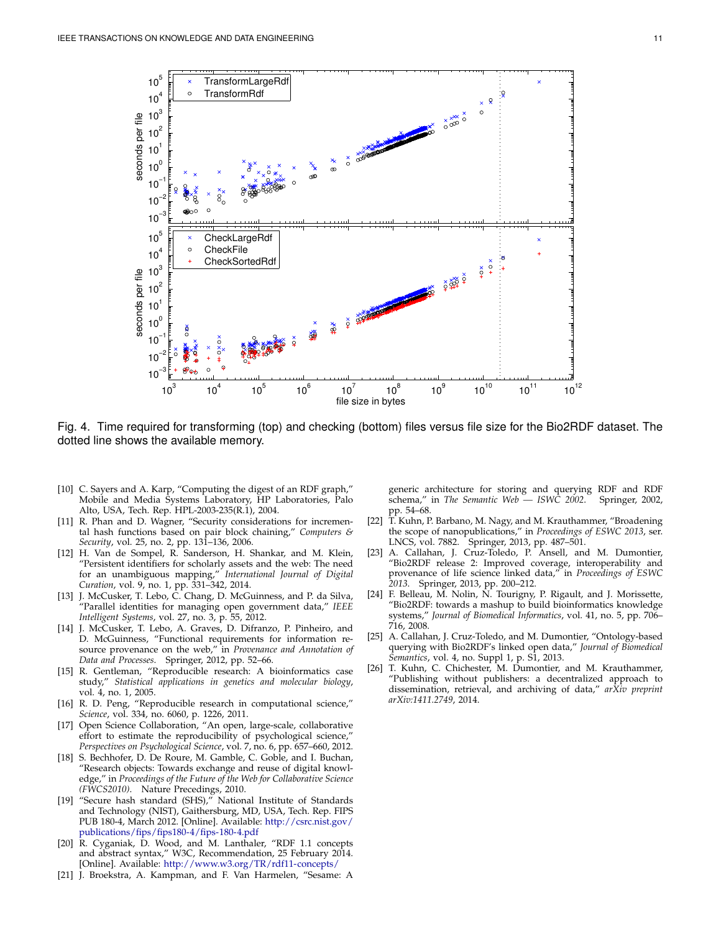

<span id="page-10-16"></span>Fig. 4. Time required for transforming (top) and checking (bottom) files versus file size for the Bio2RDF dataset. The<br>datted line aboug the available mamaxy dotted line shows the available memory.

- <span id="page-10-0"></span>[10] C. Sayers and A. Karp, "Computing the digest of an RDF graph," Mobile and Media Systems Laboratory, HP Laboratories, Palo Alto, USA, Tech. Rep. HPL-2003-235(R.1), 2004.
- <span id="page-10-1"></span>[11] R. Phan and D. Wagner, "Security considerations for incremental hash functions based on pair block chaining," *Computers & Security*, vol. 25, no. 2, pp. 131–136, 2006.
- <span id="page-10-2"></span>[12] H. Van de Sompel, R. Sanderson, H. Shankar, and M. Klein, "Persistent identifiers for scholarly assets and the web: The need for an unambiguous mapping," *International Journal of Digital Curation*, vol. 9, no. 1, pp. 331–342, 2014.
- <span id="page-10-3"></span>[13] J. McCusker, T. Lebo, C. Chang, D. McGuinness, and P. da Silva, "Parallel identities for managing open government data," *IEEE Intelligent Systems*, vol. 27, no. 3, p. 55, 2012.
- <span id="page-10-4"></span>[14] J. McCusker, T. Lebo, A. Graves, D. Difranzo, P. Pinheiro, and D. McGuinness, "Functional requirements for information resource provenance on the web," in *Provenance and Annotation of Data and Processes*. Springer, 2012, pp. 52–66.
- <span id="page-10-5"></span>[15] R. Gentleman, "Reproducible research: A bioinformatics case study," *Statistical applications in genetics and molecular biology*, vol. 4, no. 1, 2005.
- <span id="page-10-6"></span>[16] R. D. Peng, "Reproducible research in computational science," *Science*, vol. 334, no. 6060, p. 1226, 2011.
- <span id="page-10-7"></span>[17] Open Science Collaboration, "An open, large-scale, collaborative effort to estimate the reproducibility of psychological science," *Perspectives on Psychological Science*, vol. 7, no. 6, pp. 657–660, 2012.
- <span id="page-10-8"></span>[18] S. Bechhofer, D. De Roure, M. Gamble, C. Goble, and I. Buchan, "Research objects: Towards exchange and reuse of digital knowledge," in *Proceedings of the Future of the Web for Collaborative Science (FWCS2010)*. Nature Precedings, 2010.
- <span id="page-10-9"></span>[19] "Secure hash standard (SHS)," National Institute of Standards and Technology (NIST), Gaithersburg, MD, USA, Tech. Rep. FIPS PUB 180-4, March 2012. [Online]. Available: [http://csrc.nist.gov/](http://csrc.nist.gov/publications/fips/fips180-4/fips-180-4.pdf) [publications/fips/fips180-4/fips-180-4.pdf](http://csrc.nist.gov/publications/fips/fips180-4/fips-180-4.pdf)
- <span id="page-10-10"></span>[20] R. Cyganiak, D. Wood, and M. Lanthaler, "RDF 1.1 concepts and abstract syntax," W3C, Recommendation, 25 February 2014. [Online]. Available: <http://www.w3.org/TR/rdf11-concepts/>
- <span id="page-10-11"></span>[21] J. Broekstra, A. Kampman, and F. Van Harmelen, "Sesame: A

generic architecture for storing and querying RDF and RDF schema," in *The Semantic Web — ISWC 2002*. Springer, 2002, pp. 54–68.

- <span id="page-10-12"></span>[22] T. Kuhn, P. Barbano, M. Nagy, and M. Krauthammer, "Broadening the scope of nanopublications," in *Proceedings of ESWC 2013*, ser. LNCS, vol. 7882. Springer, 2013, pp. 487–501.
- <span id="page-10-13"></span>[23] A. Callahan, J. Cruz-Toledo, P. Ansell, and M. Dumontier, "Bio2RDF release 2: Improved coverage, interoperability and provenance of life science linked data," in *Proceedings of ESWC 2013*. Springer, 2013, pp. 200–212.
- <span id="page-10-14"></span>[24] F. Belleau, M. Nolin, N. Tourigny, P. Rigault, and J. Morissette, "Bio2RDF: towards a mashup to build bioinformatics knowledge systems," *Journal of Biomedical Informatics*, vol. 41, no. 5, pp. 706– 716, 2008.
- <span id="page-10-15"></span>[25] A. Callahan, J. Cruz-Toledo, and M. Dumontier, "Ontology-based querying with Bio2RDF's linked open data," *Journal of Biomedical Semantics*, vol. 4, no. Suppl 1, p. S1, 2013.
- <span id="page-10-17"></span>[26] T. Kuhn, C. Chichester, M. Dumontier, and M. Krauthammer, "Publishing without publishers: a decentralized approach to dissemination, retrieval, and archiving of data," *arXiv preprint arXiv:1411.2749*, 2014.